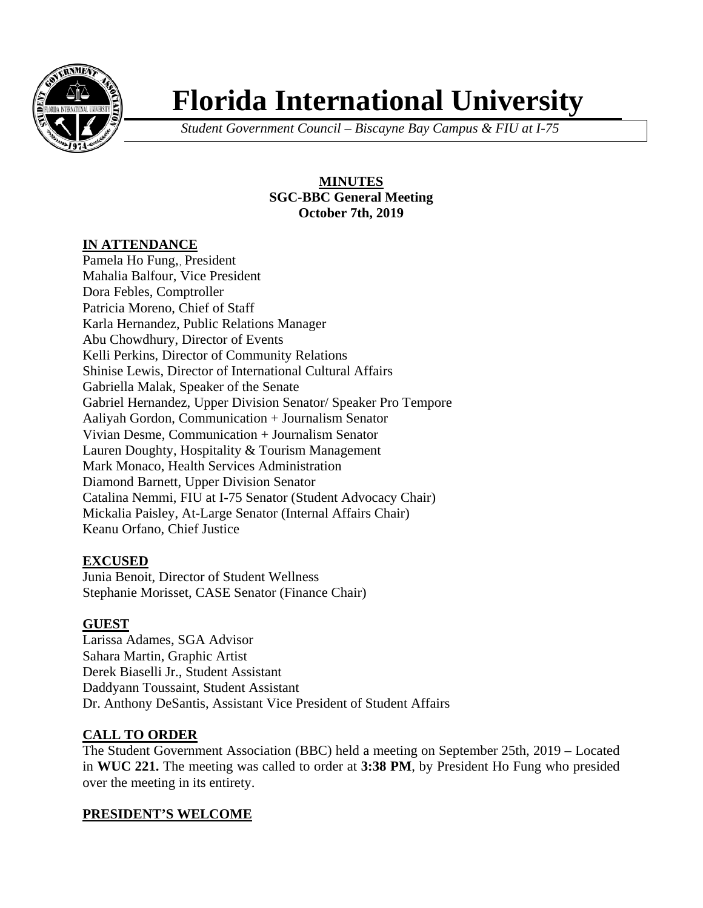

# **Florida International University**

*Student Government Council – Biscayne Bay Campus & FIU at I-75*

**MINUTES SGC-BBC General Meeting October 7th, 2019**

## **IN ATTENDANCE**

Pamela Ho Fung,, President Mahalia Balfour, Vice President Dora Febles, Comptroller Patricia Moreno, Chief of Staff Karla Hernandez, Public Relations Manager Abu Chowdhury, Director of Events Kelli Perkins, Director of Community Relations Shinise Lewis, Director of International Cultural Affairs Gabriella Malak, Speaker of the Senate Gabriel Hernandez, Upper Division Senator/ Speaker Pro Tempore Aaliyah Gordon, Communication + Journalism Senator Vivian Desme, Communication + Journalism Senator Lauren Doughty, Hospitality & Tourism Management Mark Monaco, Health Services Administration Diamond Barnett, Upper Division Senator Catalina Nemmi, FIU at I-75 Senator (Student Advocacy Chair) Mickalia Paisley, At-Large Senator (Internal Affairs Chair) Keanu Orfano, Chief Justice

# **EXCUSED**

Junia Benoit, Director of Student Wellness Stephanie Morisset, CASE Senator (Finance Chair)

# **GUEST**

Larissa Adames, SGA Advisor Sahara Martin, Graphic Artist Derek Biaselli Jr., Student Assistant Daddyann Toussaint, Student Assistant Dr. Anthony DeSantis, Assistant Vice President of Student Affairs

# **CALL TO ORDER**

The Student Government Association (BBC) held a meeting on September 25th, 2019 – Located in **WUC 221.** The meeting was called to order at **3:38 PM**, by President Ho Fung who presided over the meeting in its entirety.

## **PRESIDENT'S WELCOME**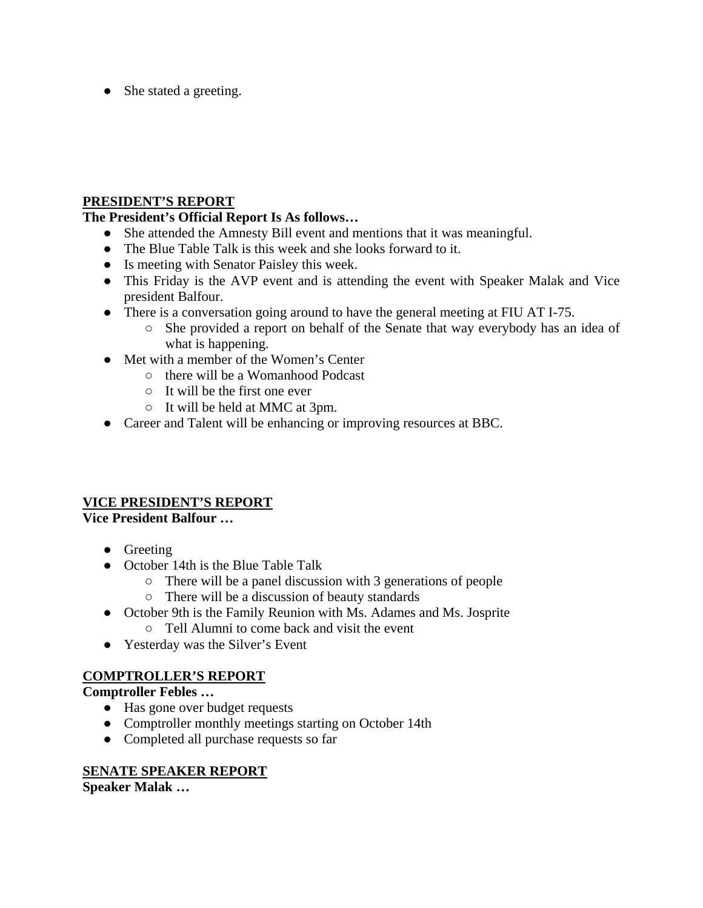• She stated a greeting.

## **PRESIDENT'S REPORT**

## **The President's Official Report Is As follows…**

- She attended the Amnesty Bill event and mentions that it was meaningful.
- The Blue Table Talk is this week and she looks forward to it.
- Is meeting with Senator Paisley this week.
- This Friday is the AVP event and is attending the event with Speaker Malak and Vice president Balfour.
- There is a conversation going around to have the general meeting at FIU AT I-75.
	- She provided a report on behalf of the Senate that way everybody has an idea of what is happening.
- Met with a member of the Women's Center
	- there will be a Womanhood Podcast
	- $\circ$  It will be the first one ever
	- It will be held at MMC at 3pm.
- Career and Talent will be enhancing or improving resources at BBC.

# **VICE PRESIDENT'S REPORT**

**Vice President Balfour …** 

- Greeting
- October 14th is the Blue Table Talk
	- There will be a panel discussion with 3 generations of people
	- There will be a discussion of beauty standards
- October 9th is the Family Reunion with Ms. Adames and Ms. Josprite
	- Tell Alumni to come back and visit the event
- Yesterday was the Silver's Event

## **COMPTROLLER'S REPORT**

**Comptroller Febles …**

- Has gone over budget requests
- Comptroller monthly meetings starting on October 14th
- Completed all purchase requests so far

# **SENATE SPEAKER REPORT**

**Speaker Malak …**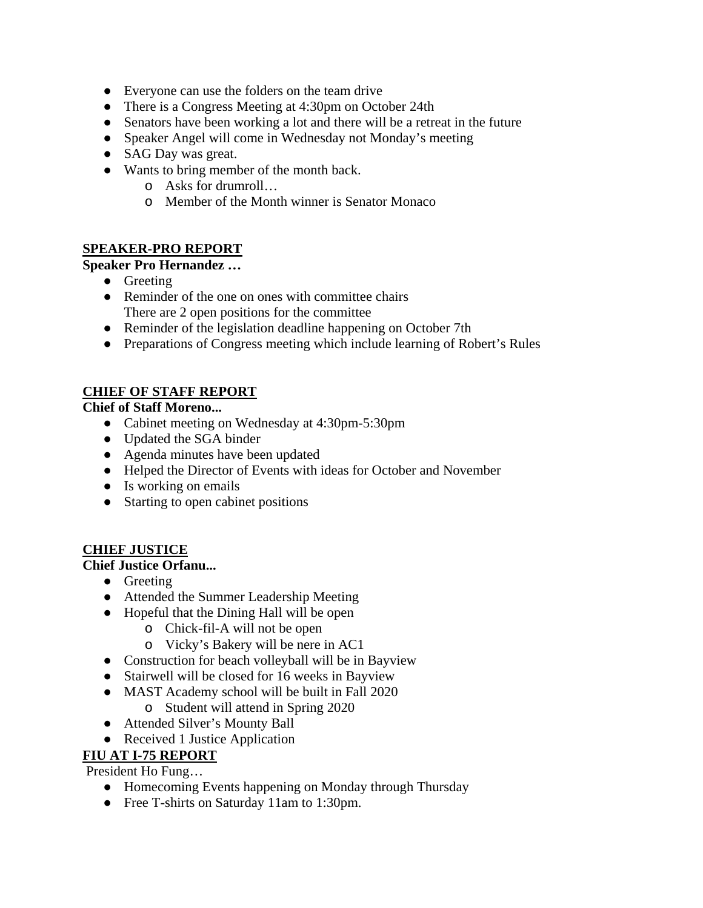- Everyone can use the folders on the team drive
- There is a Congress Meeting at 4:30pm on October 24th
- Senators have been working a lot and there will be a retreat in the future
- Speaker Angel will come in Wednesday not Monday's meeting
- SAG Day was great.
- Wants to bring member of the month back.
	- o Asks for drumroll…
	- o Member of the Month winner is Senator Monaco

## **SPEAKER-PRO REPORT**

## **Speaker Pro Hernandez …**

- Greeting
- Reminder of the one on ones with committee chairs There are 2 open positions for the committee
- Reminder of the legislation deadline happening on October 7th
- Preparations of Congress meeting which include learning of Robert's Rules

# **CHIEF OF STAFF REPORT**

**Chief of Staff Moreno...**

- Cabinet meeting on Wednesday at 4:30pm-5:30pm
- Updated the SGA binder
- Agenda minutes have been updated
- Helped the Director of Events with ideas for October and November
- Is working on emails
- Starting to open cabinet positions

# **CHIEF JUSTICE**

## **Chief Justice Orfanu...**

- Greeting
- Attended the Summer Leadership Meeting
- Hopeful that the Dining Hall will be open
	- o Chick-fil-A will not be open
	- o Vicky's Bakery will be nere in AC1
- Construction for beach volleyball will be in Bayview
- Stairwell will be closed for 16 weeks in Bayview
- MAST Academy school will be built in Fall 2020
	- o Student will attend in Spring 2020
- Attended Silver's Mounty Ball
- Received 1 Justice Application

# **FIU AT I-75 REPORT**

# President Ho Fung…

- Homecoming Events happening on Monday through Thursday
- Free T-shirts on Saturday 11am to 1:30pm.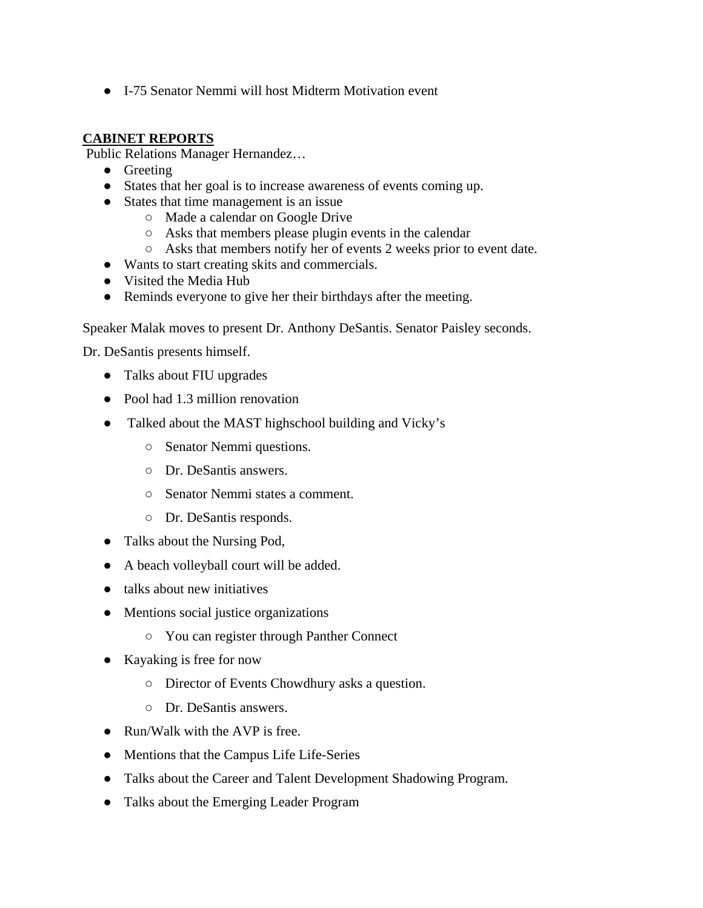● I-75 Senator Nemmi will host Midterm Motivation event

## **CABINET REPORTS**

Public Relations Manager Hernandez…

- Greeting
- States that her goal is to increase awareness of events coming up.
- States that time management is an issue
	- Made a calendar on Google Drive
	- Asks that members please plugin events in the calendar
	- Asks that members notify her of events 2 weeks prior to event date.
- Wants to start creating skits and commercials.
- Visited the Media Hub
- Reminds everyone to give her their birthdays after the meeting.

Speaker Malak moves to present Dr. Anthony DeSantis. Senator Paisley seconds.

Dr. DeSantis presents himself.

- Talks about FIU upgrades
- Pool had 1.3 million renovation
- Talked about the MAST highschool building and Vicky's
	- Senator Nemmi questions.
	- Dr. DeSantis answers.
	- Senator Nemmi states a comment.
	- Dr. DeSantis responds.
- Talks about the Nursing Pod,
- A beach volleyball court will be added.
- talks about new initiatives
- Mentions social justice organizations
	- You can register through Panther Connect
- Kayaking is free for now
	- Director of Events Chowdhury asks a question.
	- Dr. DeSantis answers.
- Run/Walk with the AVP is free.
- Mentions that the Campus Life Life-Series
- Talks about the Career and Talent Development Shadowing Program.
- Talks about the Emerging Leader Program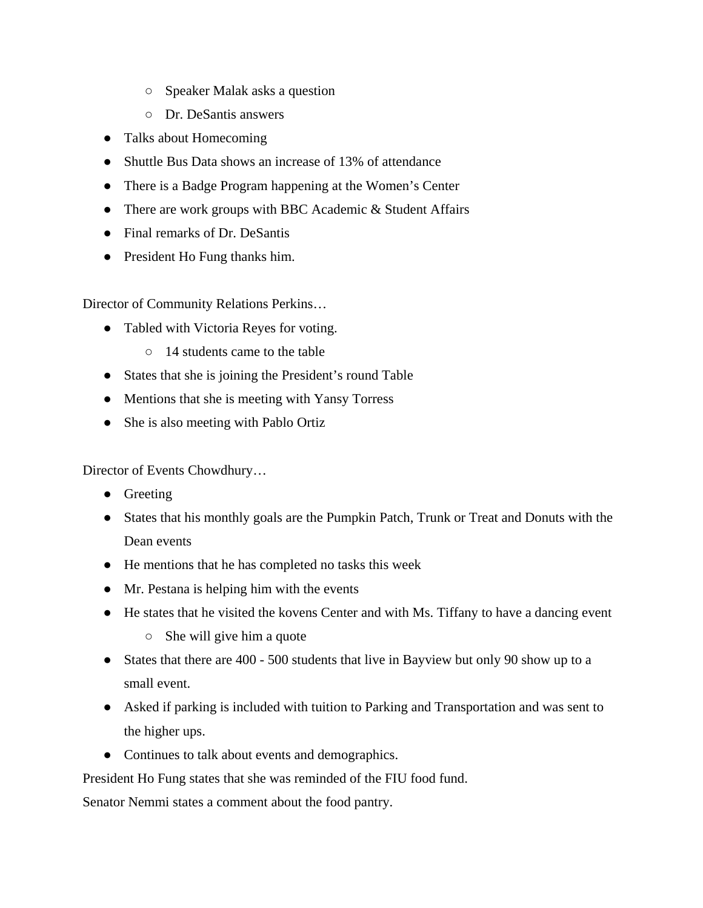- Speaker Malak asks a question
- Dr. DeSantis answers
- Talks about Homecoming
- Shuttle Bus Data shows an increase of 13% of attendance
- There is a Badge Program happening at the Women's Center
- There are work groups with BBC Academic & Student Affairs
- Final remarks of Dr. DeSantis
- President Ho Fung thanks him.

Director of Community Relations Perkins…

- Tabled with Victoria Reyes for voting.
	- 14 students came to the table
- States that she is joining the President's round Table
- Mentions that she is meeting with Yansy Torress
- She is also meeting with Pablo Ortiz

Director of Events Chowdhury…

- Greeting
- States that his monthly goals are the Pumpkin Patch, Trunk or Treat and Donuts with the Dean events
- He mentions that he has completed no tasks this week
- Mr. Pestana is helping him with the events
- He states that he visited the kovens Center and with Ms. Tiffany to have a dancing event
	- She will give him a quote
- States that there are 400 500 students that live in Bayview but only 90 show up to a small event.
- Asked if parking is included with tuition to Parking and Transportation and was sent to the higher ups.
- Continues to talk about events and demographics.

President Ho Fung states that she was reminded of the FIU food fund.

Senator Nemmi states a comment about the food pantry.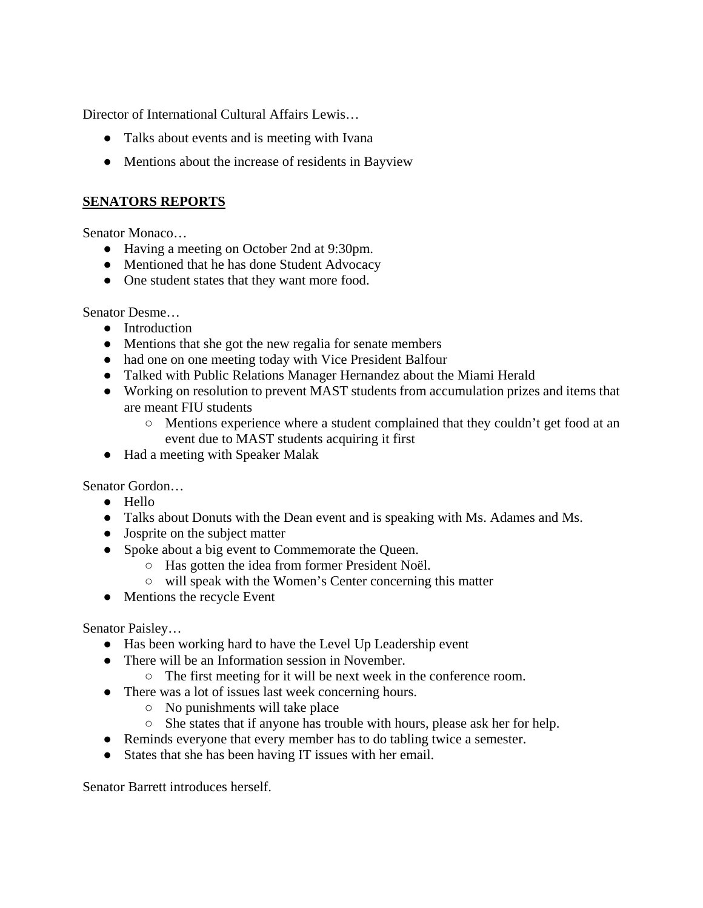Director of International Cultural Affairs Lewis…

- Talks about events and is meeting with Ivana
- Mentions about the increase of residents in Bayview

## **SENATORS REPORTS**

Senator Monaco…

- Having a meeting on October 2nd at 9:30pm.
- Mentioned that he has done Student Advocacy
- One student states that they want more food.

Senator Desme…

- Introduction
- Mentions that she got the new regalia for senate members
- had one on one meeting today with Vice President Balfour
- Talked with Public Relations Manager Hernandez about the Miami Herald
- Working on resolution to prevent MAST students from accumulation prizes and items that are meant FIU students
	- Mentions experience where a student complained that they couldn't get food at an event due to MAST students acquiring it first
- Had a meeting with Speaker Malak

Senator Gordon…

- Hello
- Talks about Donuts with the Dean event and is speaking with Ms. Adames and Ms.
- Josprite on the subject matter
- Spoke about a big event to Commemorate the Queen.
	- Has gotten the idea from former President Noël.
	- will speak with the Women's Center concerning this matter
- Mentions the recycle Event

Senator Paisley…

- Has been working hard to have the Level Up Leadership event
- There will be an Information session in November.
	- The first meeting for it will be next week in the conference room.
- There was a lot of issues last week concerning hours.
	- No punishments will take place
	- She states that if anyone has trouble with hours, please ask her for help.
- Reminds everyone that every member has to do tabling twice a semester.
- States that she has been having IT issues with her email.

Senator Barrett introduces herself.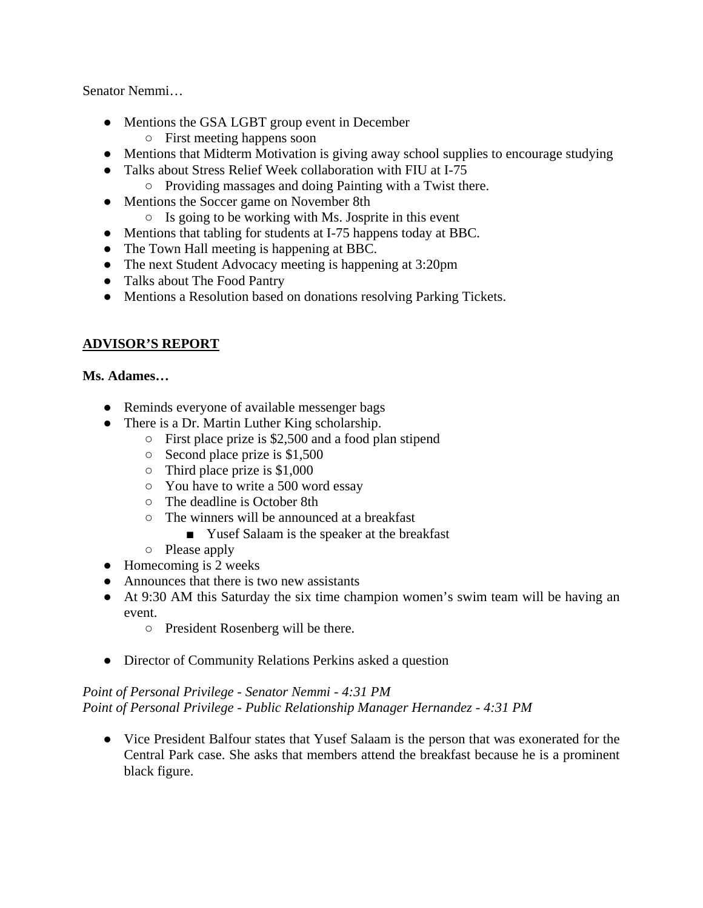Senator Nemmi…

- Mentions the GSA LGBT group event in December
	- First meeting happens soon
- Mentions that Midterm Motivation is giving away school supplies to encourage studying
- Talks about Stress Relief Week collaboration with FIU at I-75
	- Providing massages and doing Painting with a Twist there.
- Mentions the Soccer game on November 8th
	- $\circ$  Is going to be working with Ms. Josprite in this event
- Mentions that tabling for students at I-75 happens today at BBC.
- The Town Hall meeting is happening at BBC.
- The next Student Advocacy meeting is happening at 3:20pm
- Talks about The Food Pantry
- Mentions a Resolution based on donations resolving Parking Tickets.

# **ADVISOR'S REPORT**

#### **Ms. Adames…**

- Reminds everyone of available messenger bags
- There is a Dr. Martin Luther King scholarship.
	- $\circ$  First place prize is \$2,500 and a food plan stipend
	- Second place prize is \$1,500
	- Third place prize is \$1,000
	- You have to write a 500 word essay
	- The deadline is October 8th
	- The winners will be announced at a breakfast
		- Yusef Salaam is the speaker at the breakfast
	- Please apply
- $\bullet$  Homecoming is 2 weeks
- Announces that there is two new assistants
- At 9:30 AM this Saturday the six time champion women's swim team will be having an event.
	- President Rosenberg will be there.
- Director of Community Relations Perkins asked a question

## *Point of Personal Privilege - Senator Nemmi - 4:31 PM Point of Personal Privilege - Public Relationship Manager Hernandez - 4:31 PM*

● Vice President Balfour states that Yusef Salaam is the person that was exonerated for the Central Park case. She asks that members attend the breakfast because he is a prominent black figure.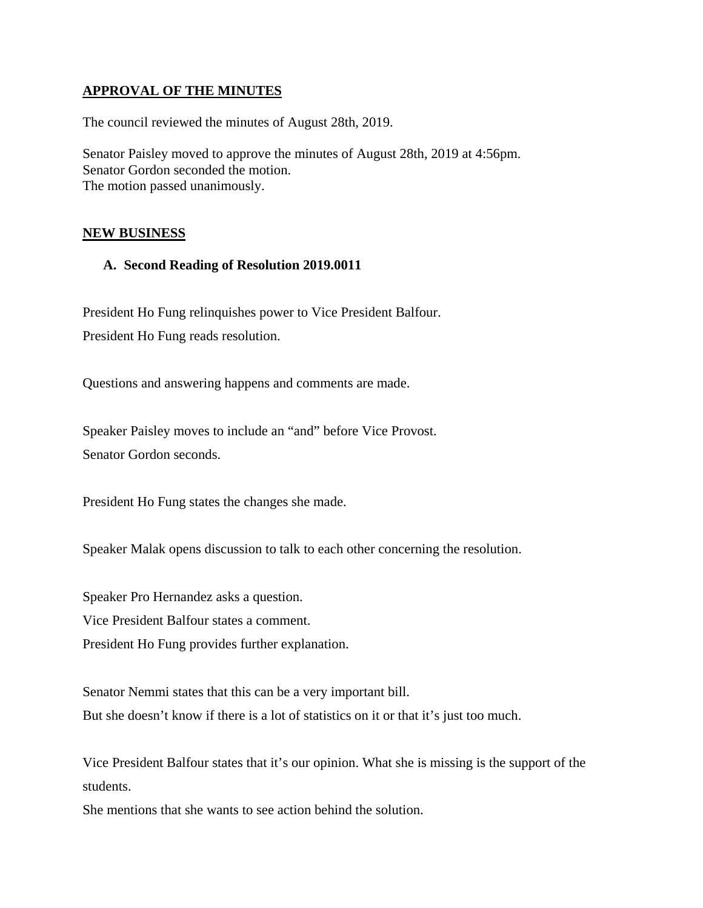#### **APPROVAL OF THE MINUTES**

The council reviewed the minutes of August 28th, 2019.

Senator Paisley moved to approve the minutes of August 28th, 2019 at 4:56pm. Senator Gordon seconded the motion. The motion passed unanimously.

#### **NEW BUSINESS**

#### **A. Second Reading of Resolution 2019.0011**

President Ho Fung relinquishes power to Vice President Balfour. President Ho Fung reads resolution.

Questions and answering happens and comments are made.

Speaker Paisley moves to include an "and" before Vice Provost. Senator Gordon seconds.

President Ho Fung states the changes she made.

Speaker Malak opens discussion to talk to each other concerning the resolution.

Speaker Pro Hernandez asks a question.

Vice President Balfour states a comment.

President Ho Fung provides further explanation.

Senator Nemmi states that this can be a very important bill. But she doesn't know if there is a lot of statistics on it or that it's just too much.

Vice President Balfour states that it's our opinion. What she is missing is the support of the students.

She mentions that she wants to see action behind the solution.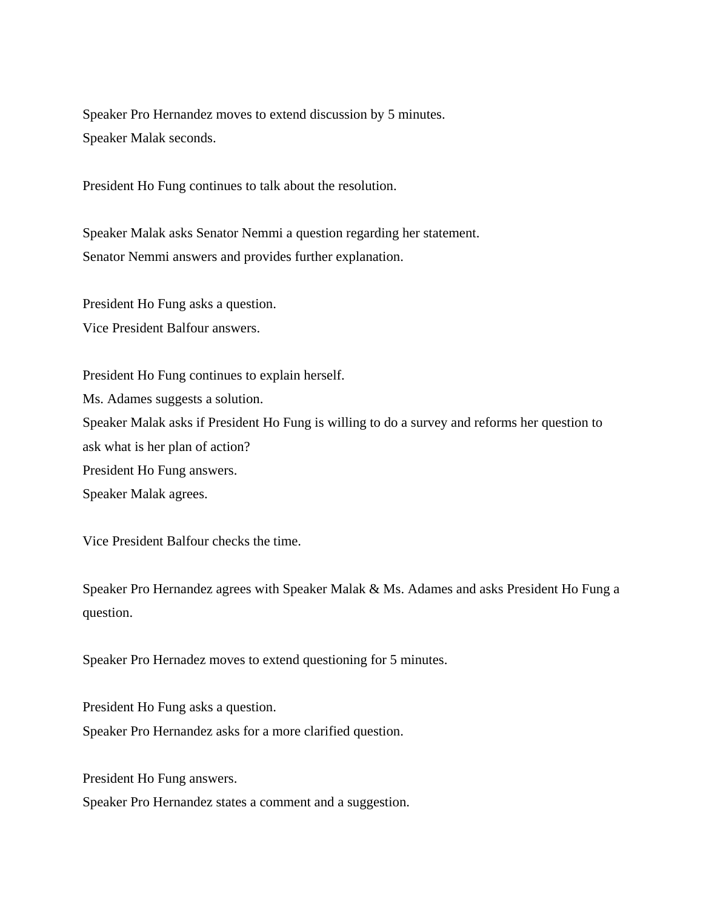Speaker Pro Hernandez moves to extend discussion by 5 minutes. Speaker Malak seconds.

President Ho Fung continues to talk about the resolution.

Speaker Malak asks Senator Nemmi a question regarding her statement. Senator Nemmi answers and provides further explanation.

President Ho Fung asks a question.

Vice President Balfour answers.

President Ho Fung continues to explain herself.

Ms. Adames suggests a solution.

Speaker Malak asks if President Ho Fung is willing to do a survey and reforms her question to ask what is her plan of action?

President Ho Fung answers.

Speaker Malak agrees.

Vice President Balfour checks the time.

Speaker Pro Hernandez agrees with Speaker Malak & Ms. Adames and asks President Ho Fung a question.

Speaker Pro Hernadez moves to extend questioning for 5 minutes.

President Ho Fung asks a question. Speaker Pro Hernandez asks for a more clarified question.

President Ho Fung answers.

Speaker Pro Hernandez states a comment and a suggestion.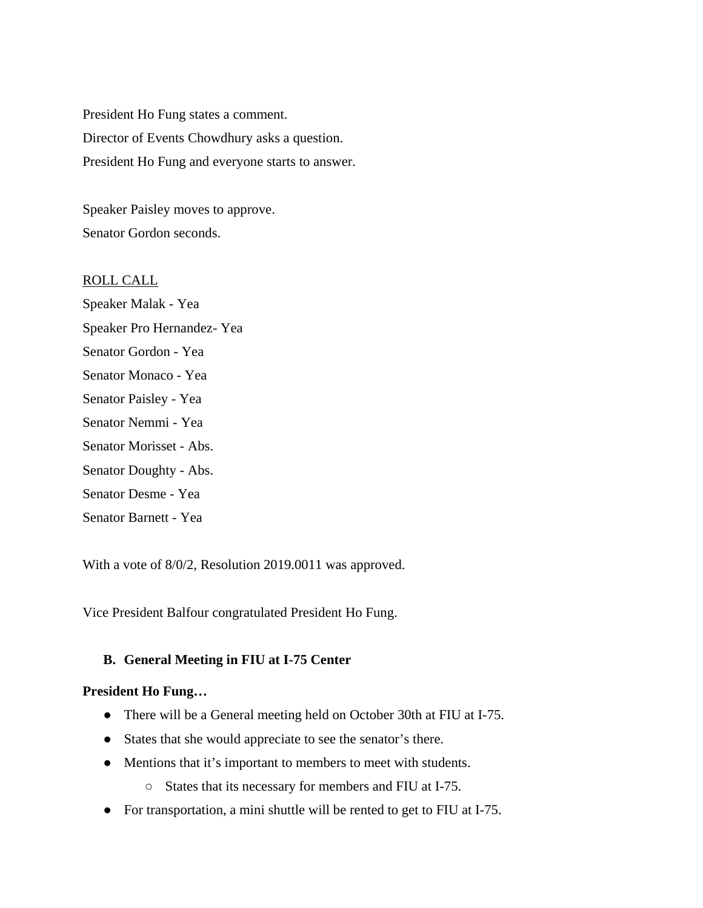President Ho Fung states a comment. Director of Events Chowdhury asks a question. President Ho Fung and everyone starts to answer.

Speaker Paisley moves to approve. Senator Gordon seconds.

ROLL CALL Speaker Malak - Yea Speaker Pro Hernandez- Yea Senator Gordon - Yea Senator Monaco - Yea Senator Paisley - Yea Senator Nemmi - Yea Senator Morisset - Abs. Senator Doughty - Abs. Senator Desme - Yea Senator Barnett - Yea

With a vote of 8/0/2, Resolution 2019.0011 was approved.

Vice President Balfour congratulated President Ho Fung.

## **B. General Meeting in FIU at I-75 Center**

#### **President Ho Fung…**

- There will be a General meeting held on October 30th at FIU at I-75.
- States that she would appreciate to see the senator's there.
- Mentions that it's important to members to meet with students.
	- States that its necessary for members and FIU at I-75.
- For transportation, a mini shuttle will be rented to get to FIU at I-75.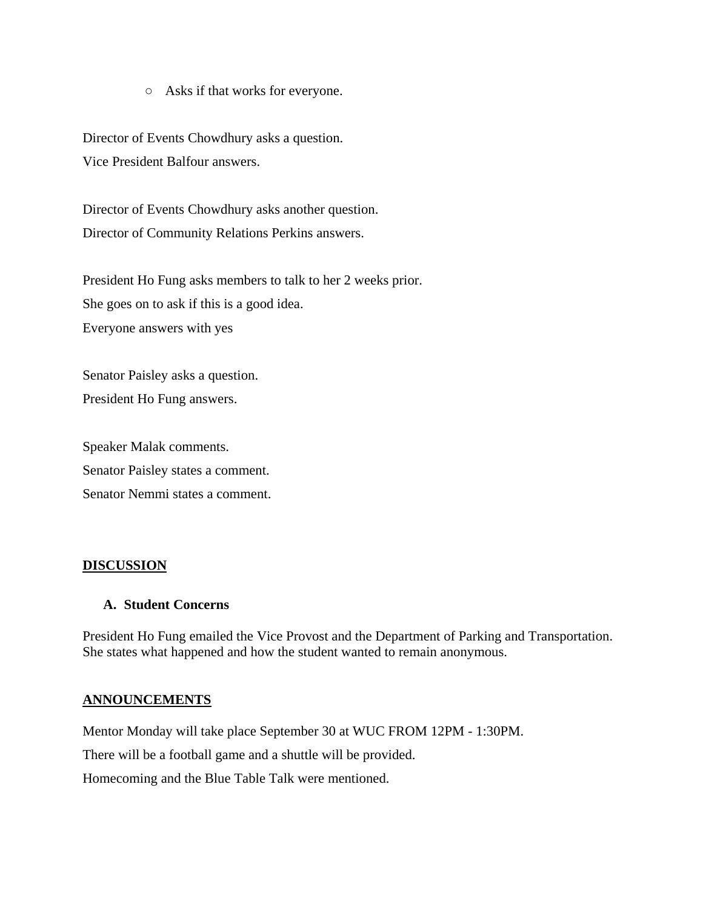○ Asks if that works for everyone.

Director of Events Chowdhury asks a question. Vice President Balfour answers.

Director of Events Chowdhury asks another question. Director of Community Relations Perkins answers.

President Ho Fung asks members to talk to her 2 weeks prior. She goes on to ask if this is a good idea. Everyone answers with yes

Senator Paisley asks a question. President Ho Fung answers.

Speaker Malak comments. Senator Paisley states a comment. Senator Nemmi states a comment.

#### **DISCUSSION**

#### **A. Student Concerns**

President Ho Fung emailed the Vice Provost and the Department of Parking and Transportation. She states what happened and how the student wanted to remain anonymous.

#### **ANNOUNCEMENTS**

Mentor Monday will take place September 30 at WUC FROM 12PM - 1:30PM. There will be a football game and a shuttle will be provided. Homecoming and the Blue Table Talk were mentioned.